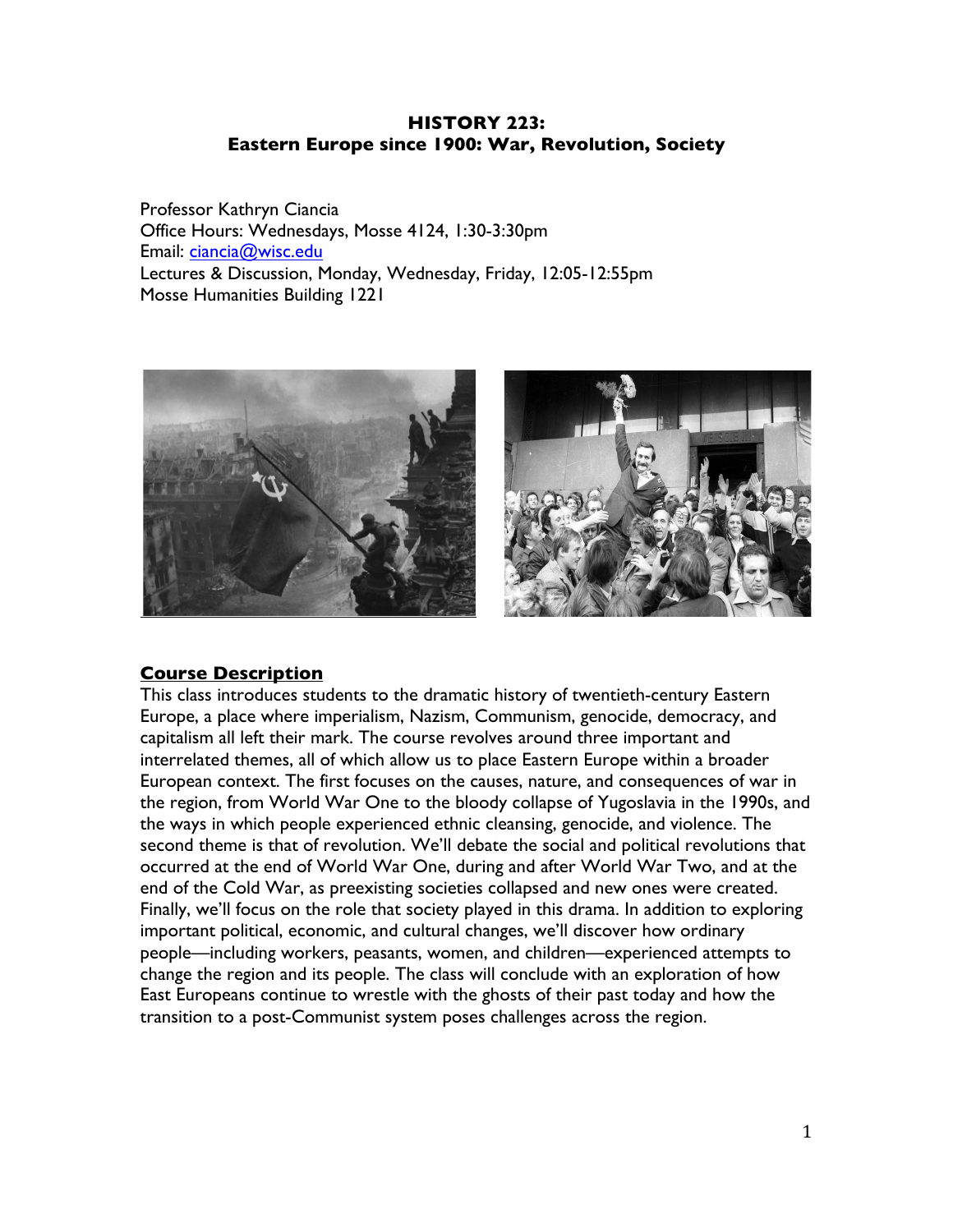### **HISTORY 223: Eastern Europe since 1900: War, Revolution, Society**

Professor Kathryn Ciancia Office Hours: Wednesdays, Mosse 4124, 1:30-3:30pm Email: ciancia@wisc.edu Lectures & Discussion, Monday, Wednesday, Friday, 12:05-12:55pm Mosse Humanities Building 1221



### **Course Description**

This class introduces students to the dramatic history of twentieth-century Eastern Europe, a place where imperialism, Nazism, Communism, genocide, democracy, and capitalism all left their mark. The course revolves around three important and interrelated themes, all of which allow us to place Eastern Europe within a broader European context. The first focuses on the causes, nature, and consequences of war in the region, from World War One to the bloody collapse of Yugoslavia in the 1990s, and the ways in which people experienced ethnic cleansing, genocide, and violence. The second theme is that of revolution. We'll debate the social and political revolutions that occurred at the end of World War One, during and after World War Two, and at the end of the Cold War, as preexisting societies collapsed and new ones were created. Finally, we'll focus on the role that society played in this drama. In addition to exploring important political, economic, and cultural changes, we'll discover how ordinary people—including workers, peasants, women, and children—experienced attempts to change the region and its people. The class will conclude with an exploration of how East Europeans continue to wrestle with the ghosts of their past today and how the transition to a post-Communist system poses challenges across the region.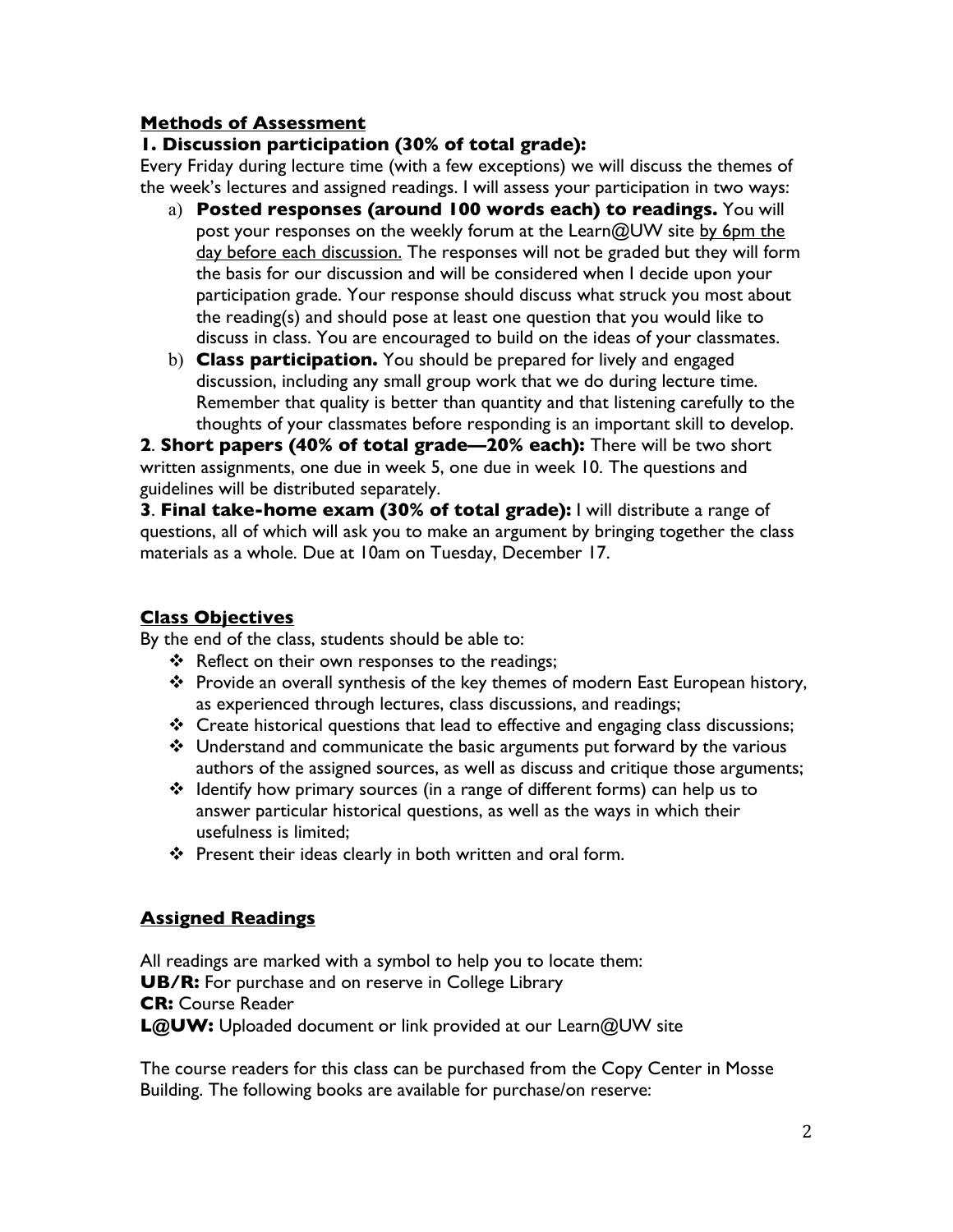## **Methods of Assessment**

## **1. Discussion participation (30% of total grade):**

Every Friday during lecture time (with a few exceptions) we will discuss the themes of the week's lectures and assigned readings. I will assess your participation in two ways:

- a) **Posted responses (around 100 words each) to readings.** You will post your responses on the weekly forum at the Learn@UW site by 6pm the day before each discussion. The responses will not be graded but they will form the basis for our discussion and will be considered when I decide upon your participation grade. Your response should discuss what struck you most about the reading(s) and should pose at least one question that you would like to discuss in class. You are encouraged to build on the ideas of your classmates.
- b) **Class participation.** You should be prepared for lively and engaged discussion, including any small group work that we do during lecture time. Remember that quality is better than quantity and that listening carefully to the thoughts of your classmates before responding is an important skill to develop.

**2**. **Short papers (40% of total grade—20% each):** There will be two short written assignments, one due in week 5, one due in week 10. The questions and guidelines will be distributed separately.

**3**. **Final take-home exam (30% of total grade):** I will distribute a range of questions, all of which will ask you to make an argument by bringing together the class materials as a whole. Due at 10am on Tuesday, December 17.

## **Class Objectives**

By the end of the class, students should be able to:

- ❖ Reflect on their own responses to the readings:
- \* Provide an overall synthesis of the key themes of modern East European history, as experienced through lectures, class discussions, and readings;
- \* Create historical questions that lead to effective and engaging class discussions;
- $\div$  Understand and communicate the basic arguments put forward by the various authors of the assigned sources, as well as discuss and critique those arguments;
- Identify how primary sources (in a range of different forms) can help us to answer particular historical questions, as well as the ways in which their usefulness is limited;
- $\cdot \cdot$  Present their ideas clearly in both written and oral form.

# **Assigned Readings**

All readings are marked with a symbol to help you to locate them: **UB/R:** For purchase and on reserve in College Library **CR:** Course Reader **L@UW:** Uploaded document or link provided at our Learn@UW site

The course readers for this class can be purchased from the Copy Center in Mosse Building. The following books are available for purchase/on reserve: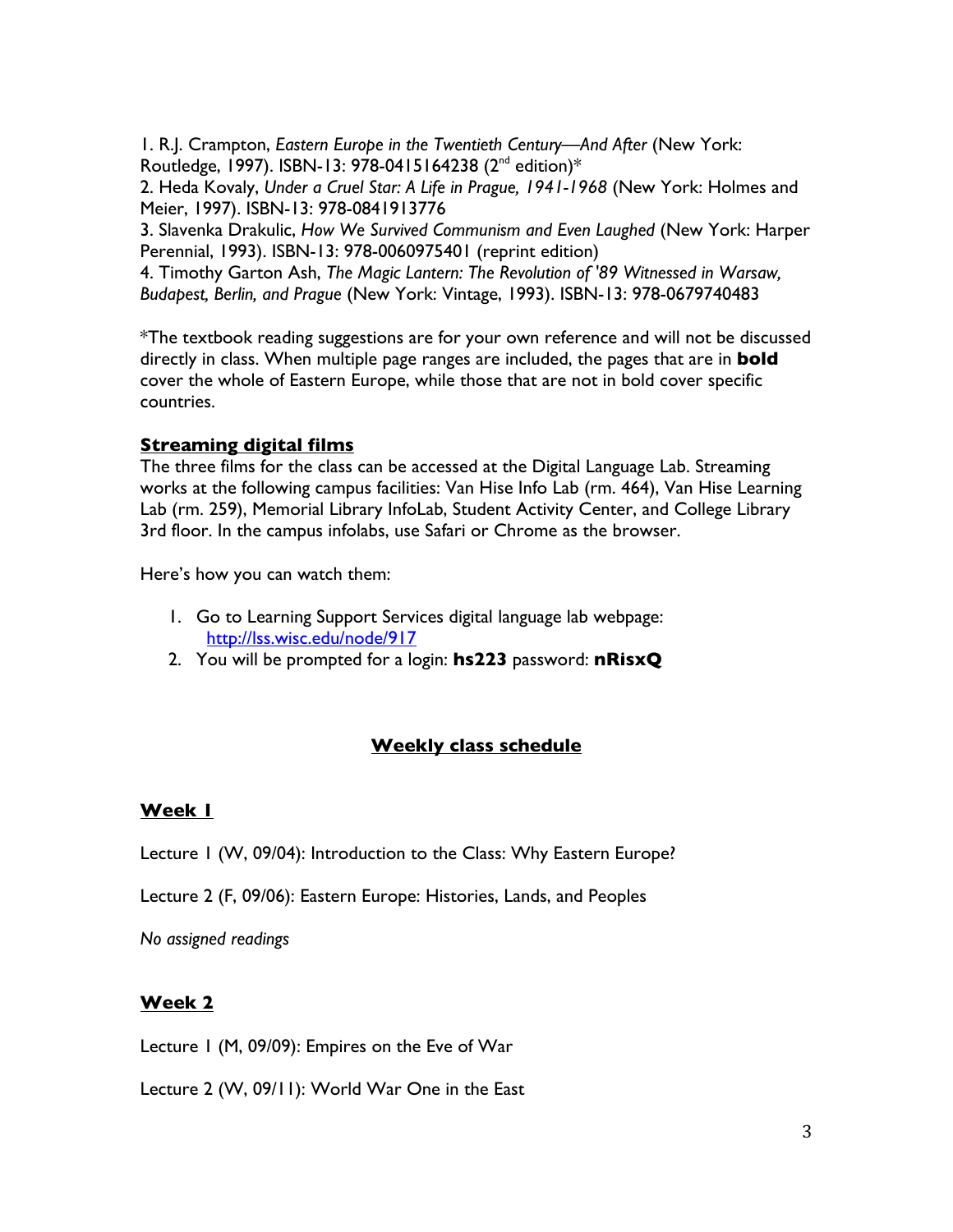1. R.J. Crampton, *Eastern Europe in the Twentieth Century—And After* (New York: Routledge, 1997). ISBN-13: 978-0415164238  $(2^{nd}$  edition)\*

2. Heda Kovaly, *Under a Cruel Star: A Life in Prague, 1941-1968* (New York: Holmes and Meier, 1997). ISBN-13: 978-0841913776

3. Slavenka Drakulic, *How We Survived Communism and Even Laughed* (New York: Harper Perennial, 1993). ISBN-13: 978-0060975401 (reprint edition)

4. Timothy Garton Ash, *The Magic Lantern: The Revolution of '89 Witnessed in Warsaw, Budapest, Berlin, and Prague* (New York: Vintage, 1993). ISBN-13: 978-0679740483

\*The textbook reading suggestions are for your own reference and will not be discussed directly in class. When multiple page ranges are included, the pages that are in **bold**  cover the whole of Eastern Europe, while those that are not in bold cover specific countries.

## **Streaming digital films**

The three films for the class can be accessed at the Digital Language Lab. Streaming works at the following campus facilities: Van Hise Info Lab (rm. 464), Van Hise Learning Lab (rm. 259), Memorial Library InfoLab, Student Activity Center, and College Library 3rd floor. In the campus infolabs, use Safari or Chrome as the browser.

Here's how you can watch them:

- 1. Go to Learning Support Services digital language lab webpage: http://lss.wisc.edu/node/917
- 2. You will be prompted for a login: **hs223** password: **nRisxQ**

## **Weekly class schedule**

### **Week 1**

Lecture 1 (W, 09/04): Introduction to the Class: Why Eastern Europe?

Lecture 2 (F, 09/06): Eastern Europe: Histories, Lands, and Peoples

*No assigned readings*

### **Week 2**

Lecture 1 (M, 09/09): Empires on the Eve of War

Lecture 2 (W, 09/11): World War One in the East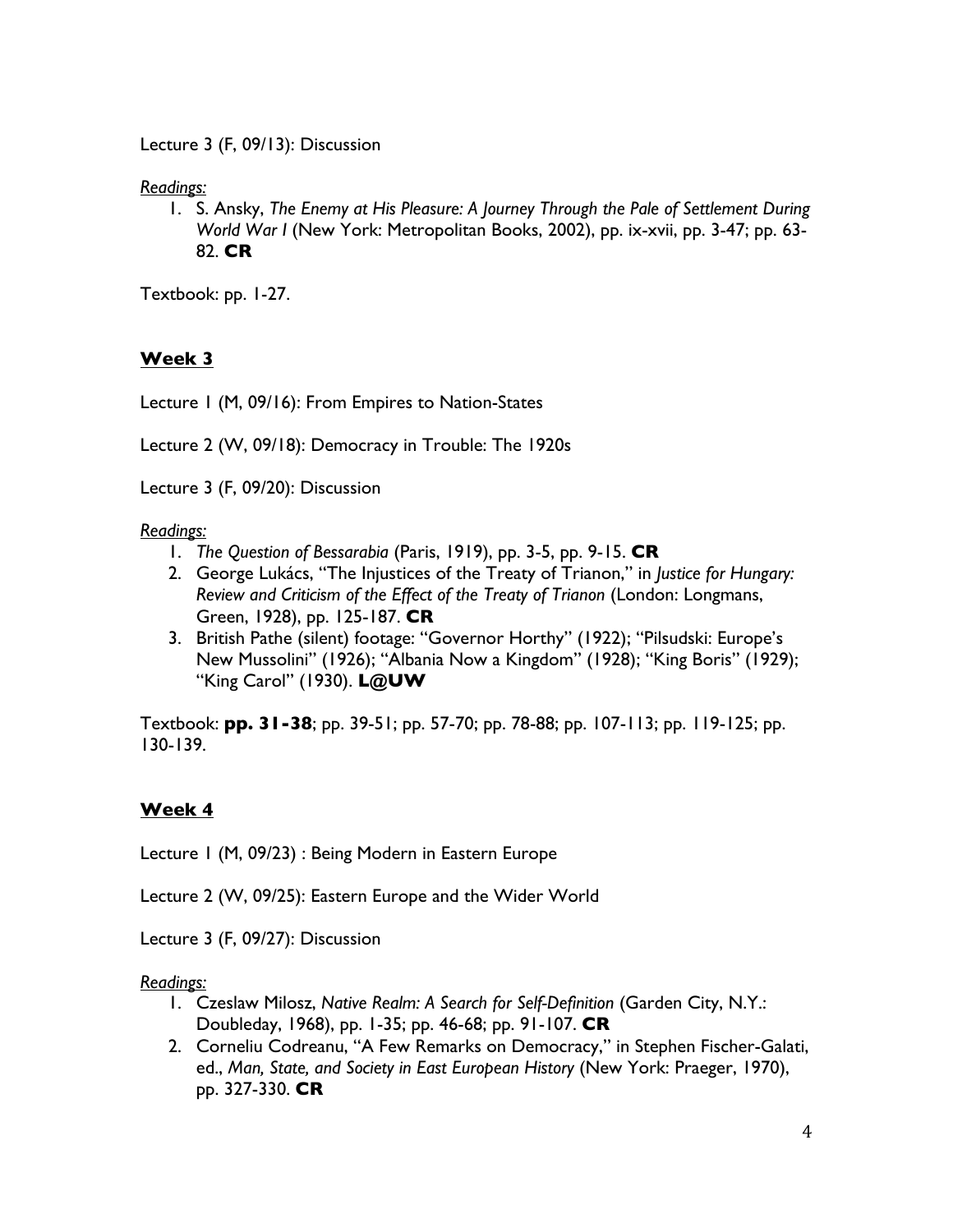Lecture 3 (F, 09/13): Discussion

*Readings:*

1. S. Ansky, *The Enemy at His Pleasure: A Journey Through the Pale of Settlement During World War I* (New York: Metropolitan Books, 2002), pp. ix-xvii, pp. 3-47; pp. 63- 82. **CR**

Textbook: pp. 1-27.

# **Week 3**

Lecture 1 (M, 09/16): From Empires to Nation-States

Lecture 2 (W, 09/18): Democracy in Trouble: The 1920s

Lecture 3 (F, 09/20): Discussion

*Readings:*

- 1. *The Question of Bessarabia* (Paris, 1919), pp. 3-5, pp. 9-15. **CR**
- 2. George Lukács, "The Injustices of the Treaty of Trianon," in *Justice for Hungary: Review and Criticism of the Effect of the Treaty of Trianon* (London: Longmans, Green, 1928), pp. 125-187. **CR**
- 3. British Pathe (silent) footage: "Governor Horthy" (1922); "Pilsudski: Europe's New Mussolini" (1926); "Albania Now a Kingdom" (1928); "King Boris" (1929); "King Carol" (1930). **L@UW**

Textbook: **pp. 31-38**; pp. 39-51; pp. 57-70; pp. 78-88; pp. 107-113; pp. 119-125; pp. 130-139.

# **Week 4**

Lecture 1 (M, 09/23) : Being Modern in Eastern Europe

Lecture 2 (W, 09/25): Eastern Europe and the Wider World

Lecture 3 (F, 09/27): Discussion

*Readings:*

- 1. Czeslaw Milosz, *Native Realm: A Search for Self-Definition* (Garden City, N.Y.: Doubleday, 1968), pp. 1-35; pp. 46-68; pp. 91-107. **CR**
- 2. Corneliu Codreanu, "A Few Remarks on Democracy," in Stephen Fischer-Galati, ed., *Man, State, and Society in East European History* (New York: Praeger, 1970), pp. 327-330. **CR**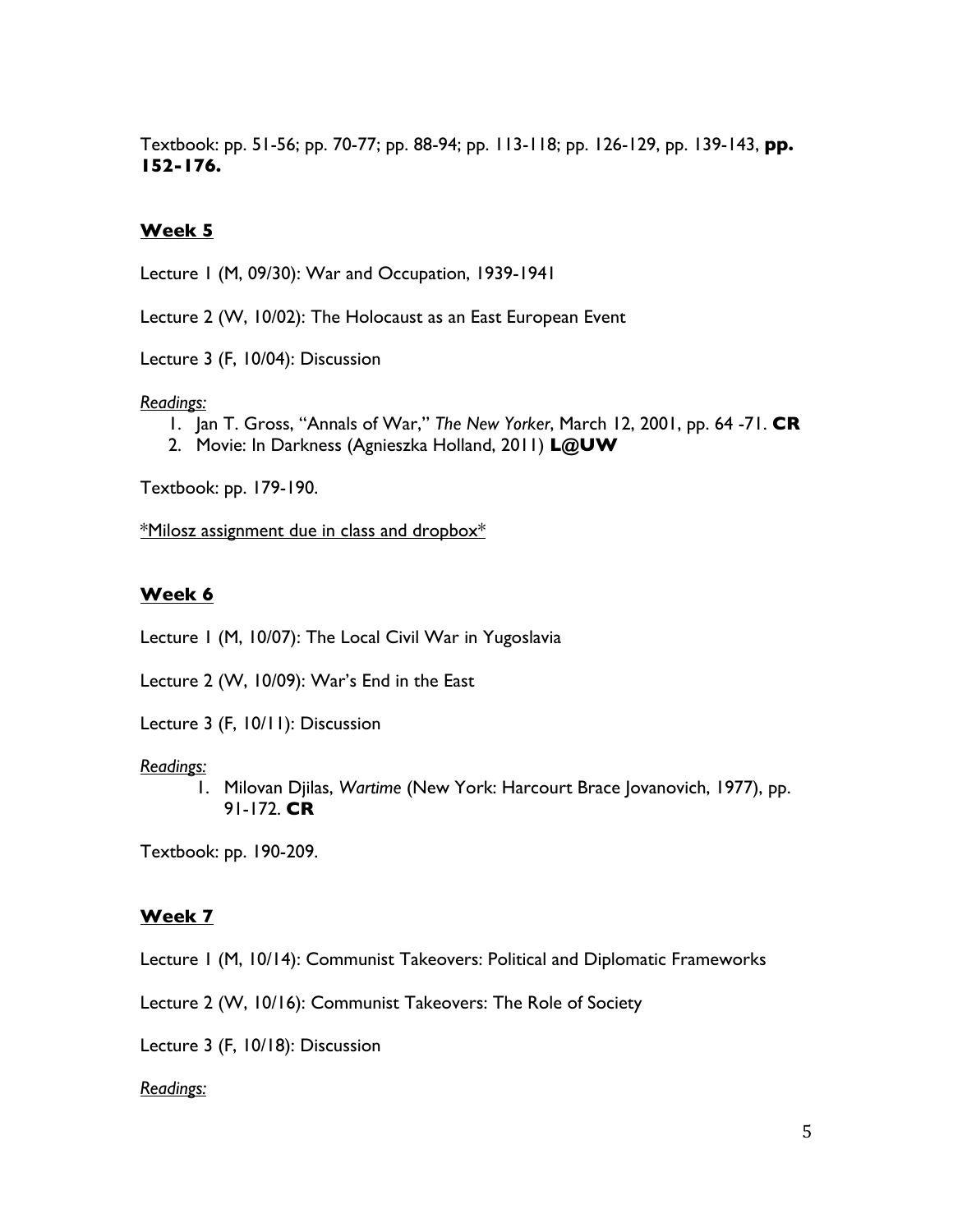Textbook: pp. 51-56; pp. 70-77; pp. 88-94; pp. 113-118; pp. 126-129, pp. 139-143, **pp. 152-176.** 

### **Week 5**

Lecture 1 (M, 09/30): War and Occupation, 1939-1941

Lecture 2 (W, 10/02): The Holocaust as an East European Event

Lecture 3 (F, 10/04): Discussion

#### *Readings:*

- 1. Jan T. Gross, "Annals of War," *The New Yorker*, March 12, 2001, pp. 64 -71. **CR**
- 2. Movie: In Darkness (Agnieszka Holland, 2011) **L@UW**

Textbook: pp. 179-190.

\*Milosz assignment due in class and dropbox\*

### **Week 6**

Lecture 1 (M, 10/07): The Local Civil War in Yugoslavia

Lecture 2 (W, 10/09): War's End in the East

Lecture 3 (F, 10/11): Discussion

#### *Readings:*

1. Milovan Djilas, *Wartime* (New York: Harcourt Brace Jovanovich, 1977), pp. 91-172. **CR**

Textbook: pp. 190-209.

#### **Week 7**

Lecture 1 (M, 10/14): Communist Takeovers: Political and Diplomatic Frameworks

Lecture 2 (W, 10/16): Communist Takeovers: The Role of Society

Lecture 3 (F, 10/18): Discussion

#### *Readings:*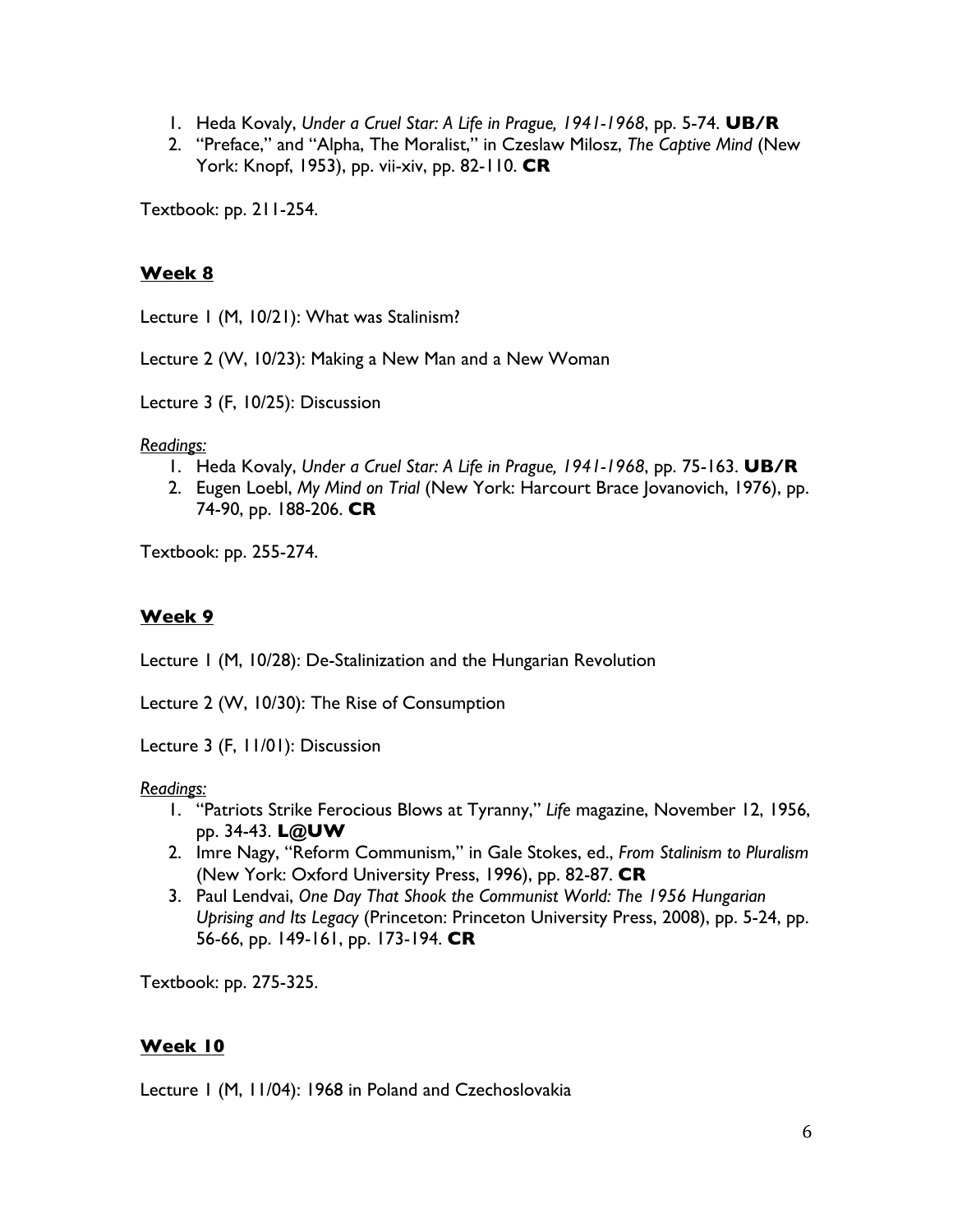- 1. Heda Kovaly, *Under a Cruel Star: A Life in Prague, 1941-1968*, pp. 5-74. **UB/R**
- 2. "Preface," and "Alpha, The Moralist," in Czeslaw Milosz, *The Captive Mind* (New York: Knopf, 1953), pp. vii-xiv, pp. 82-110. **CR**

Textbook: pp. 211-254.

## **Week 8**

Lecture 1 (M, 10/21): What was Stalinism?

Lecture 2 (W, 10/23): Making a New Man and a New Woman

Lecture 3 (F, 10/25): Discussion

*Readings:*

- 1. Heda Kovaly, *Under a Cruel Star: A Life in Prague, 1941-1968*, pp. 75-163. **UB/R**
- 2. Eugen Loebl, *My Mind on Trial* (New York: Harcourt Brace Jovanovich, 1976), pp. 74-90, pp. 188-206. **CR**

Textbook: pp. 255-274.

# **Week 9**

Lecture 1 (M, 10/28): De-Stalinization and the Hungarian Revolution

Lecture 2 (W, 10/30): The Rise of Consumption

Lecture 3 (F, 11/01): Discussion

*Readings:*

- 1. "Patriots Strike Ferocious Blows at Tyranny," *Life* magazine, November 12, 1956, pp. 34-43. **L@UW**
- 2. Imre Nagy, "Reform Communism," in Gale Stokes, ed., *From Stalinism to Pluralism* (New York: Oxford University Press, 1996), pp. 82-87. **CR**
- 3. Paul Lendvai, *One Day That Shook the Communist World: The 1956 Hungarian Uprising and Its Legacy* (Princeton: Princeton University Press, 2008), pp. 5-24, pp. 56-66, pp. 149-161, pp. 173-194. **CR**

Textbook: pp. 275-325.

## **Week 10**

Lecture 1 (M, 11/04): 1968 in Poland and Czechoslovakia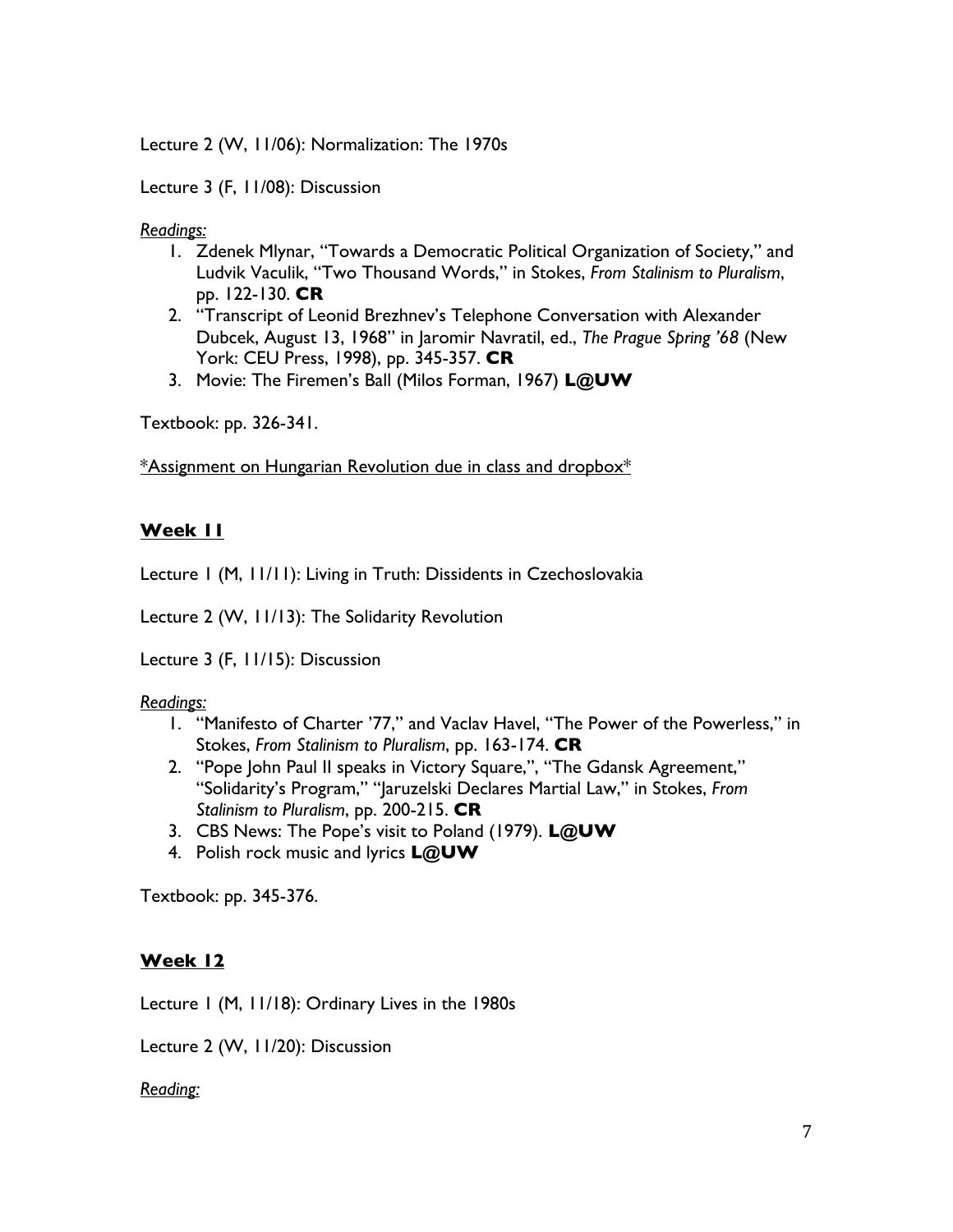Lecture 2 (W, 11/06): Normalization: The 1970s

Lecture 3 (F, 11/08): Discussion

*Readings:*

- 1. Zdenek Mlynar, "Towards a Democratic Political Organization of Society," and Ludvik Vaculik, "Two Thousand Words," in Stokes, *From Stalinism to Pluralism*, pp. 122-130. **CR**
- 2. "Transcript of Leonid Brezhnev's Telephone Conversation with Alexander Dubcek, August 13, 1968" in Jaromir Navratil, ed., *The Prague Spring '68* (New York: CEU Press, 1998), pp. 345-357. **CR**
- 3. Movie: The Firemen's Ball (Milos Forman, 1967) **L@UW**

Textbook: pp. 326-341.

\*Assignment on Hungarian Revolution due in class and dropbox\*

## **Week 11**

Lecture 1 (M, 11/11): Living in Truth: Dissidents in Czechoslovakia

Lecture 2 (W, 11/13): The Solidarity Revolution

Lecture 3 (F, 11/15): Discussion

## *Readings:*

- 1. "Manifesto of Charter '77," and Vaclav Havel, "The Power of the Powerless," in Stokes, *From Stalinism to Pluralism*, pp. 163-174. **CR**
- 2. "Pope John Paul II speaks in Victory Square,", "The Gdansk Agreement," "Solidarity's Program," "Jaruzelski Declares Martial Law," in Stokes, *From Stalinism to Pluralism*, pp. 200-215. **CR**
- 3. CBS News: The Pope's visit to Poland (1979). **L@UW**
- 4. Polish rock music and lyrics **L@UW**

Textbook: pp. 345-376.

## **Week 12**

Lecture 1 (M, 11/18): Ordinary Lives in the 1980s

Lecture 2 (W, 11/20): Discussion

*Reading:*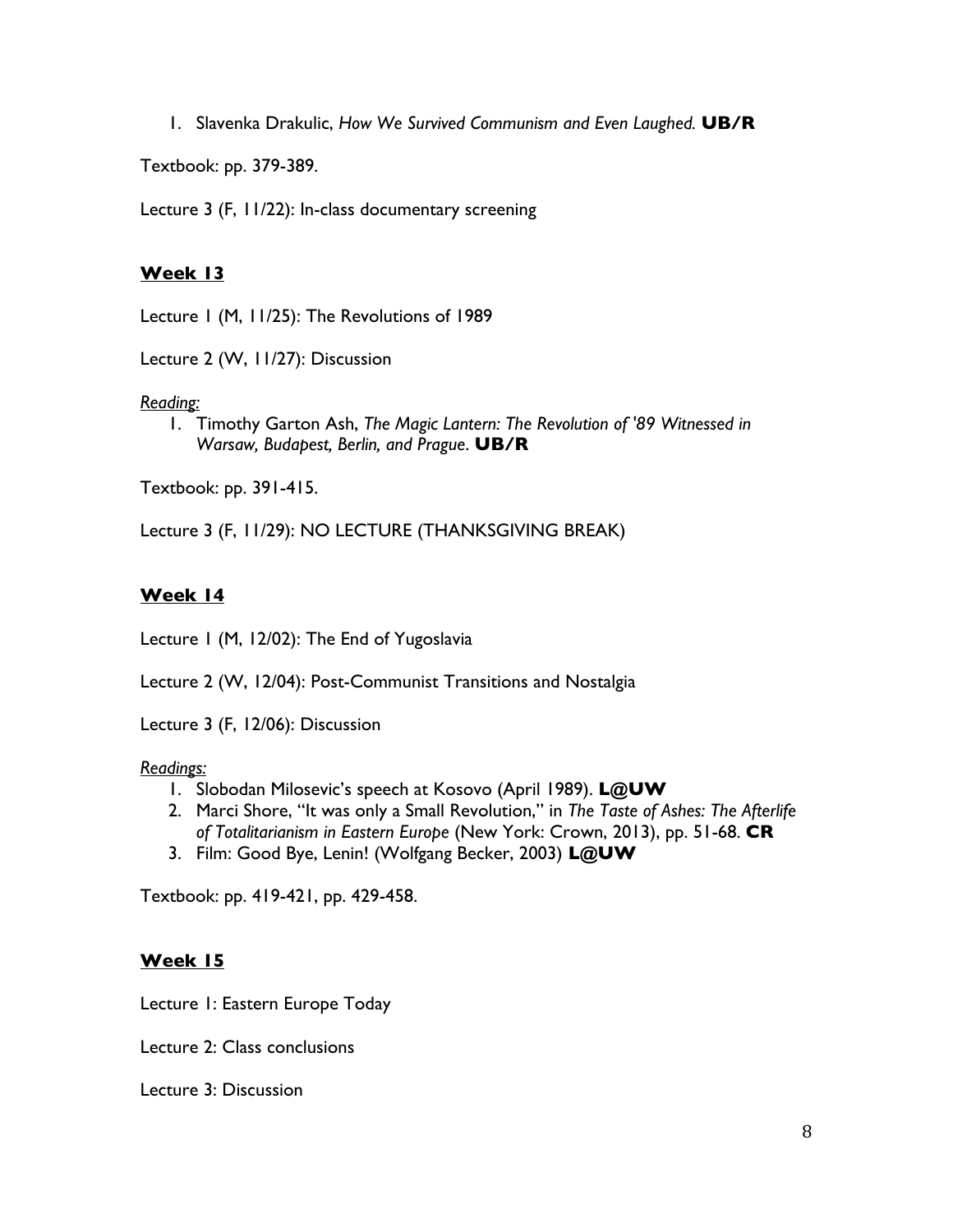1. Slavenka Drakulic, *How We Survived Communism and Even Laughed.* **UB/R**

Textbook: pp. 379-389.

Lecture 3 (F, 11/22): In-class documentary screening

## **Week 13**

Lecture 1 (M, 11/25): The Revolutions of 1989

Lecture 2 (W, 11/27): Discussion

### *Reading:*

1. Timothy Garton Ash, *The Magic Lantern: The Revolution of '89 Witnessed in Warsaw, Budapest, Berlin, and Prague*. **UB/R**

Textbook: pp. 391-415.

Lecture 3 (F, 11/29): NO LECTURE (THANKSGIVING BREAK)

## **Week 14**

Lecture 1 (M, 12/02): The End of Yugoslavia

Lecture 2 (W, 12/04): Post-Communist Transitions and Nostalgia

Lecture 3 (F, 12/06): Discussion

### *Readings:*

- 1. Slobodan Milosevic's speech at Kosovo (April 1989). **L@UW**
- 2. Marci Shore, "It was only a Small Revolution," in *The Taste of Ashes: The Afterlife of Totalitarianism in Eastern Europe* (New York: Crown, 2013), pp. 51-68. **CR**
- 3. Film: Good Bye, Lenin! (Wolfgang Becker, 2003) **L@UW**

Textbook: pp. 419-421, pp. 429-458.

## **Week 15**

Lecture 1: Eastern Europe Today

Lecture 2: Class conclusions

Lecture 3: Discussion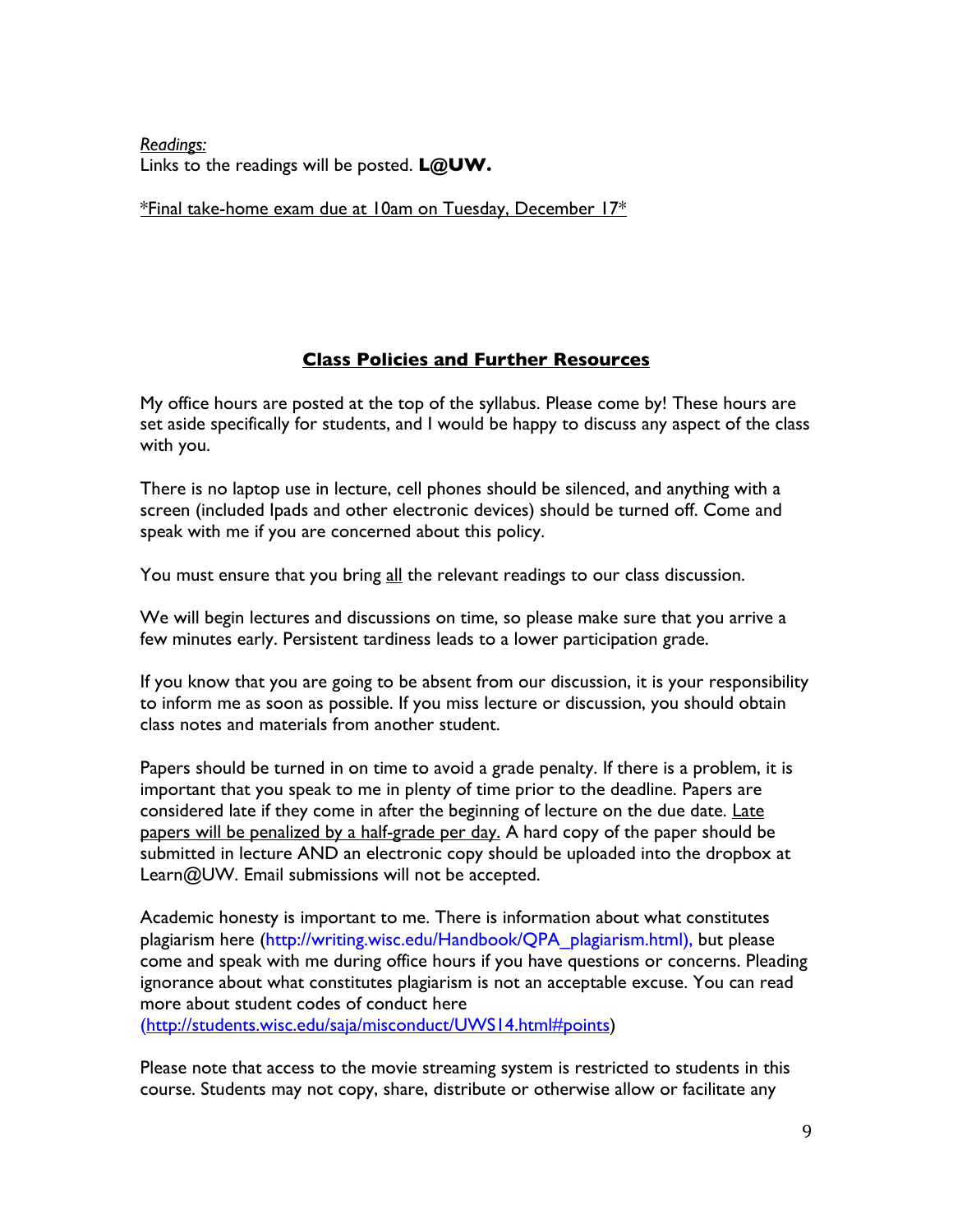*Readings:* Links to the readings will be posted. **L@UW.**

\*Final take-home exam due at 10am on Tuesday, December 17\*

## **Class Policies and Further Resources**

My office hours are posted at the top of the syllabus. Please come by! These hours are set aside specifically for students, and I would be happy to discuss any aspect of the class with you.

There is no laptop use in lecture, cell phones should be silenced, and anything with a screen (included Ipads and other electronic devices) should be turned off. Come and speak with me if you are concerned about this policy.

You must ensure that you bring all the relevant readings to our class discussion.

We will begin lectures and discussions on time, so please make sure that you arrive a few minutes early. Persistent tardiness leads to a lower participation grade.

If you know that you are going to be absent from our discussion, it is your responsibility to inform me as soon as possible. If you miss lecture or discussion, you should obtain class notes and materials from another student.

Papers should be turned in on time to avoid a grade penalty. If there is a problem, it is important that you speak to me in plenty of time prior to the deadline. Papers are considered late if they come in after the beginning of lecture on the due date. Late papers will be penalized by a half-grade per day. A hard copy of the paper should be submitted in lecture AND an electronic copy should be uploaded into the dropbox at Learn@UW. Email submissions will not be accepted.

Academic honesty is important to me. There is information about what constitutes plagiarism here (http://writing.wisc.edu/Handbook/QPA\_plagiarism.html), but please come and speak with me during office hours if you have questions or concerns. Pleading ignorance about what constitutes plagiarism is not an acceptable excuse. You can read more about student codes of conduct here (http://students.wisc.edu/saja/misconduct/UWS14.html#points)

Please note that access to the movie streaming system is restricted to students in this

course. Students may not copy, share, distribute or otherwise allow or facilitate any